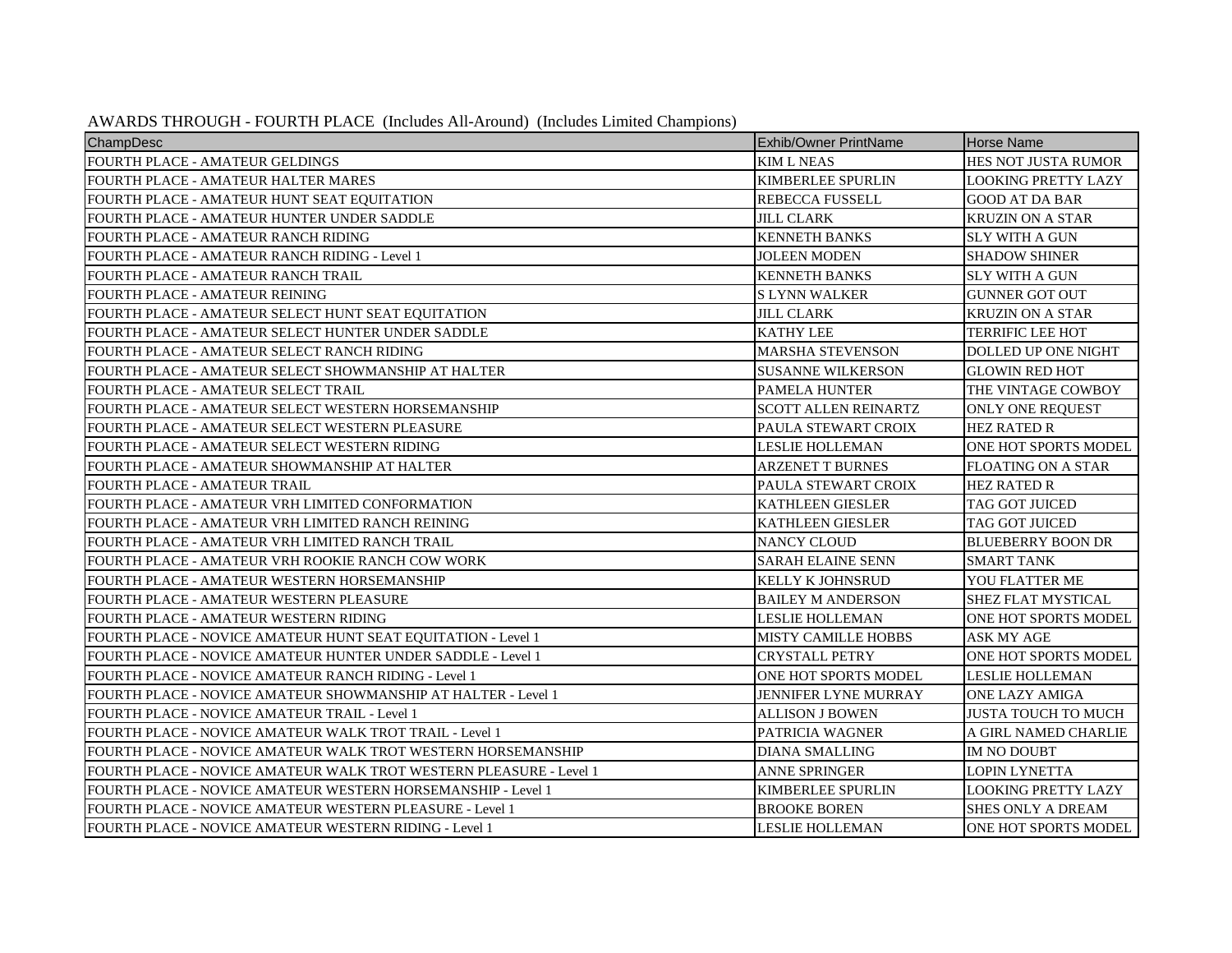| AWARDS THROUGH - FOURTH PLACE (Includes All-Around) (Includes Limited Champions) |  |  |  |  |
|----------------------------------------------------------------------------------|--|--|--|--|
|----------------------------------------------------------------------------------|--|--|--|--|

| ChampDesc                                                          | <b>Exhib/Owner PrintName</b> | <b>Horse Name</b>           |
|--------------------------------------------------------------------|------------------------------|-----------------------------|
| <b>FOURTH PLACE - AMATEUR GELDINGS</b>                             | <b>KIM L NEAS</b>            | <b>HES NOT JUSTA RUMOR</b>  |
| FOURTH PLACE - AMATEUR HALTER MARES                                | <b>KIMBERLEE SPURLIN</b>     | <b>LOOKING PRETTY LAZY</b>  |
| FOURTH PLACE - AMATEUR HUNT SEAT EQUITATION                        | <b>REBECCA FUSSELL</b>       | <b>GOOD AT DA BAR</b>       |
| FOURTH PLACE - AMATEUR HUNTER UNDER SADDLE                         | <b>JILL CLARK</b>            | <b>KRUZIN ON A STAR</b>     |
| FOURTH PLACE - AMATEUR RANCH RIDING                                | <b>KENNETH BANKS</b>         | <b>SLY WITH A GUN</b>       |
| FOURTH PLACE - AMATEUR RANCH RIDING - Level 1                      | <b>JOLEEN MODEN</b>          | <b>SHADOW SHINER</b>        |
| FOURTH PLACE - AMATEUR RANCH TRAIL                                 | <b>KENNETH BANKS</b>         | <b>SLY WITH A GUN</b>       |
| FOURTH PLACE - AMATEUR REINING                                     | <b>SLYNN WALKER</b>          | <b>GUNNER GOT OUT</b>       |
| FOURTH PLACE - AMATEUR SELECT HUNT SEAT EQUITATION                 | <b>JILL CLARK</b>            | <b>KRUZIN ON A STAR</b>     |
| FOURTH PLACE - AMATEUR SELECT HUNTER UNDER SADDLE                  | <b>KATHY LEE</b>             | <b>TERRIFIC LEE HOT</b>     |
| FOURTH PLACE - AMATEUR SELECT RANCH RIDING                         | <b>MARSHA STEVENSON</b>      | DOLLED UP ONE NIGHT         |
| FOURTH PLACE - AMATEUR SELECT SHOWMANSHIP AT HALTER                | <b>SUSANNE WILKERSON</b>     | <b>GLOWIN RED HOT</b>       |
| FOURTH PLACE - AMATEUR SELECT TRAIL                                | <b>PAMELA HUNTER</b>         | THE VINTAGE COWBOY          |
| FOURTH PLACE - AMATEUR SELECT WESTERN HORSEMANSHIP                 | <b>SCOTT ALLEN REINARTZ</b>  | <b>ONLY ONE REQUEST</b>     |
| FOURTH PLACE - AMATEUR SELECT WESTERN PLEASURE                     | PAULA STEWART CROIX          | <b>HEZ RATED R</b>          |
| FOURTH PLACE - AMATEUR SELECT WESTERN RIDING                       | <b>LESLIE HOLLEMAN</b>       | ONE HOT SPORTS MODEL        |
| FOURTH PLACE - AMATEUR SHOWMANSHIP AT HALTER                       | <b>ARZENET T BURNES</b>      | <b>FLOATING ON A STAR</b>   |
| FOURTH PLACE - AMATEUR TRAIL                                       | PAULA STEWART CROIX          | <b>HEZ RATED R</b>          |
| FOURTH PLACE - AMATEUR VRH LIMITED CONFORMATION                    | <b>KATHLEEN GIESLER</b>      | <b>TAG GOT JUICED</b>       |
| FOURTH PLACE - AMATEUR VRH LIMITED RANCH REINING                   | <b>KATHLEEN GIESLER</b>      | <b>TAG GOT JUICED</b>       |
| FOURTH PLACE - AMATEUR VRH LIMITED RANCH TRAIL                     | <b>NANCY CLOUD</b>           | <b>BLUEBERRY BOON DR</b>    |
| FOURTH PLACE - AMATEUR VRH ROOKIE RANCH COW WORK                   | <b>SARAH ELAINE SENN</b>     | <b>SMART TANK</b>           |
| FOURTH PLACE - AMATEUR WESTERN HORSEMANSHIP                        | <b>KELLY K JOHNSRUD</b>      | YOU FLATTER ME              |
| FOURTH PLACE - AMATEUR WESTERN PLEASURE                            | <b>BAILEY M ANDERSON</b>     | <b>SHEZ FLAT MYSTICAL</b>   |
| FOURTH PLACE - AMATEUR WESTERN RIDING                              | <b>LESLIE HOLLEMAN</b>       | <b>ONE HOT SPORTS MODEL</b> |
| FOURTH PLACE - NOVICE AMATEUR HUNT SEAT EQUITATION - Level 1       | <b>MISTY CAMILLE HOBBS</b>   | ASK MY AGE                  |
| FOURTH PLACE - NOVICE AMATEUR HUNTER UNDER SADDLE - Level 1        | <b>CRYSTALL PETRY</b>        | <b>ONE HOT SPORTS MODEL</b> |
| FOURTH PLACE - NOVICE AMATEUR RANCH RIDING - Level 1               | ONE HOT SPORTS MODEL         | <b>LESLIE HOLLEMAN</b>      |
| FOURTH PLACE - NOVICE AMATEUR SHOWMANSHIP AT HALTER - Level 1      | <b>JENNIFER LYNE MURRAY</b>  | <b>ONE LAZY AMIGA</b>       |
| FOURTH PLACE - NOVICE AMATEUR TRAIL - Level 1                      | <b>ALLISON J BOWEN</b>       | <b>JUSTA TOUCH TO MUCH</b>  |
| FOURTH PLACE - NOVICE AMATEUR WALK TROT TRAIL - Level 1            | <b>PATRICIA WAGNER</b>       | A GIRL NAMED CHARLIE        |
| FOURTH PLACE - NOVICE AMATEUR WALK TROT WESTERN HORSEMANSHIP       | <b>DIANA SMALLING</b>        | <b>IM NO DOUBT</b>          |
| FOURTH PLACE - NOVICE AMATEUR WALK TROT WESTERN PLEASURE - Level 1 | <b>ANNE SPRINGER</b>         | <b>LOPIN LYNETTA</b>        |
| FOURTH PLACE - NOVICE AMATEUR WESTERN HORSEMANSHIP - Level 1       | <b>KIMBERLEE SPURLIN</b>     | <b>LOOKING PRETTY LAZY</b>  |
| FOURTH PLACE - NOVICE AMATEUR WESTERN PLEASURE - Level 1           | <b>BROOKE BOREN</b>          | <b>SHES ONLY A DREAM</b>    |
| FOURTH PLACE - NOVICE AMATEUR WESTERN RIDING - Level 1             | <b>LESLIE HOLLEMAN</b>       | ONE HOT SPORTS MODEL        |